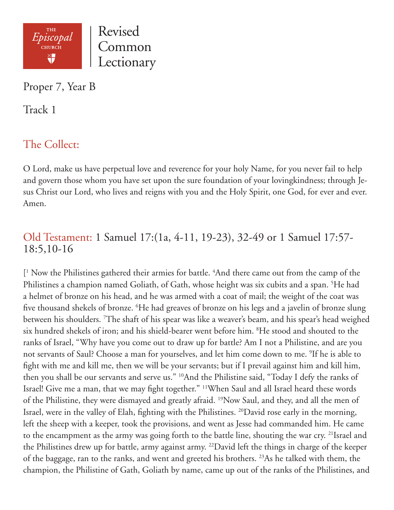

Proper 7, Year B

Track 1

# The Collect:

O Lord, make us have perpetual love and reverence for your holy Name, for you never fail to help and govern those whom you have set upon the sure foundation of your lovingkindness; through Jesus Christ our Lord, who lives and reigns with you and the Holy Spirit, one God, for ever and ever. Amen.

## Old Testament: 1 Samuel 17:(1a, 4-11, 19-23), 32-49 or 1 Samuel 17:57- 18:5,10-16

[<sup>1</sup> Now the Philistines gathered their armies for battle. <sup>4</sup>And there came out from the camp of the Philistines a champion named Goliath, of Gath, whose height was six cubits and a span. <sup>5</sup>He had a helmet of bronze on his head, and he was armed with a coat of mail; the weight of the coat was five thousand shekels of bronze. <sup>6</sup>He had greaves of bronze on his legs and a javelin of bronze slung between his shoulders. 7 The shaft of his spear was like a weaver's beam, and his spear's head weighed six hundred shekels of iron; and his shield-bearer went before him. 8 He stood and shouted to the ranks of Israel, "Why have you come out to draw up for battle? Am I not a Philistine, and are you not servants of Saul? Choose a man for yourselves, and let him come down to me. 9 If he is able to fight with me and kill me, then we will be your servants; but if I prevail against him and kill him, then you shall be our servants and serve us." <sup>10</sup>And the Philistine said, "Today I defy the ranks of Israel! Give me a man, that we may fight together." 11When Saul and all Israel heard these words of the Philistine, they were dismayed and greatly afraid. 19Now Saul, and they, and all the men of Israel, were in the valley of Elah, fighting with the Philistines. 20David rose early in the morning, left the sheep with a keeper, took the provisions, and went as Jesse had commanded him. He came to the encampment as the army was going forth to the battle line, shouting the war cry. <sup>21</sup>Israel and the Philistines drew up for battle, army against army. 22David left the things in charge of the keeper of the baggage, ran to the ranks, and went and greeted his brothers. 23As he talked with them, the champion, the Philistine of Gath, Goliath by name, came up out of the ranks of the Philistines, and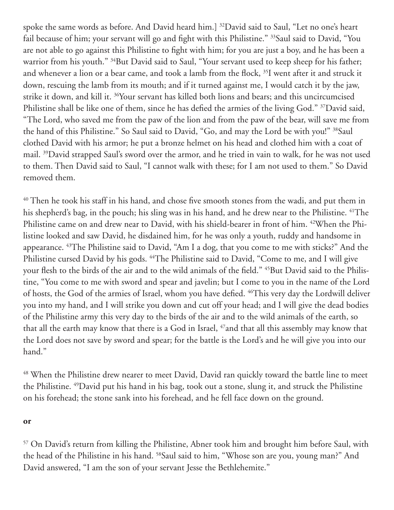spoke the same words as before. And David heard him.] <sup>32</sup>David said to Saul, "Let no one's heart fail because of him; your servant will go and fight with this Philistine." <sup>33</sup>Saul said to David, "You are not able to go against this Philistine to fight with him; for you are just a boy, and he has been a warrior from his youth." <sup>34</sup>But David said to Saul, "Your servant used to keep sheep for his father; and whenever a lion or a bear came, and took a lamb from the flock, 35I went after it and struck it down, rescuing the lamb from its mouth; and if it turned against me, I would catch it by the jaw, strike it down, and kill it. 36Your servant has killed both lions and bears; and this uncircumcised Philistine shall be like one of them, since he has defied the armies of the living God." 37David said, "The Lord, who saved me from the paw of the lion and from the paw of the bear, will save me from the hand of this Philistine." So Saul said to David, "Go, and may the Lord be with you!" 38Saul clothed David with his armor; he put a bronze helmet on his head and clothed him with a coat of mail. 39David strapped Saul's sword over the armor, and he tried in vain to walk, for he was not used to them. Then David said to Saul, "I cannot walk with these; for I am not used to them." So David removed them.

<sup>40</sup> Then he took his staff in his hand, and chose five smooth stones from the wadi, and put them in his shepherd's bag, in the pouch; his sling was in his hand, and he drew near to the Philistine. <sup>41</sup>The Philistine came on and drew near to David, with his shield-bearer in front of him. 42When the Philistine looked and saw David, he disdained him, for he was only a youth, ruddy and handsome in appearance. 43The Philistine said to David, "Am I a dog, that you come to me with sticks?" And the Philistine cursed David by his gods. 44The Philistine said to David, "Come to me, and I will give your flesh to the birds of the air and to the wild animals of the field." <sup>45</sup>But David said to the Philistine, "You come to me with sword and spear and javelin; but I come to you in the name of the Lord of hosts, the God of the armies of Israel, whom you have defied. 46This very day the Lordwill deliver you into my hand, and I will strike you down and cut off your head; and I will give the dead bodies of the Philistine army this very day to the birds of the air and to the wild animals of the earth, so that all the earth may know that there is a God in Israel, <sup>47</sup>and that all this assembly may know that the Lord does not save by sword and spear; for the battle is the Lord's and he will give you into our hand."

<sup>48</sup> When the Philistine drew nearer to meet David, David ran quickly toward the battle line to meet the Philistine. 49David put his hand in his bag, took out a stone, slung it, and struck the Philistine on his forehead; the stone sank into his forehead, and he fell face down on the ground.

#### **or**

57 On David's return from killing the Philistine, Abner took him and brought him before Saul, with the head of the Philistine in his hand. <sup>58</sup>Saul said to him, "Whose son are you, young man?" And David answered, "I am the son of your servant Jesse the Bethlehemite."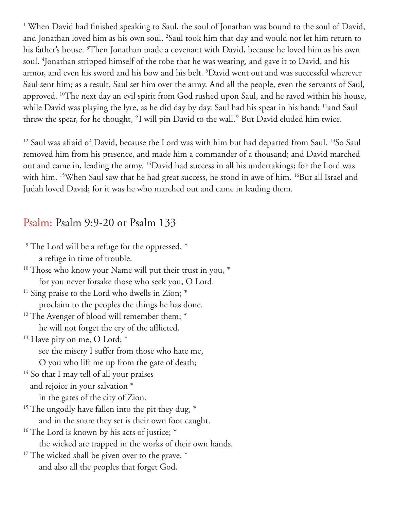<sup>1</sup> When David had finished speaking to Saul, the soul of Jonathan was bound to the soul of David, and Jonathan loved him as his own soul.  $^{2}$ Saul took him that day and would not let him return to his father's house. 3 Then Jonathan made a covenant with David, because he loved him as his own soul. <sup>4</sup>Jonathan stripped himself of the robe that he was wearing, and gave it to David, and his armor, and even his sword and his bow and his belt. 5 David went out and was successful wherever Saul sent him; as a result, Saul set him over the army. And all the people, even the servants of Saul, approved. <sup>10</sup>The next day an evil spirit from God rushed upon Saul, and he raved within his house, while David was playing the lyre, as he did day by day. Saul had his spear in his hand; <sup>11</sup>and Saul threw the spear, for he thought, "I will pin David to the wall." But David eluded him twice.

<sup>12</sup> Saul was afraid of David, because the Lord was with him but had departed from Saul. <sup>13</sup>So Saul removed him from his presence, and made him a commander of a thousand; and David marched out and came in, leading the army. 14David had success in all his undertakings; for the Lord was with him. <sup>15</sup>When Saul saw that he had great success, he stood in awe of him. <sup>16</sup>But all Israel and Judah loved David; for it was he who marched out and came in leading them.

### Psalm: Psalm 9:9-20 or Psalm 133

| <sup>9</sup> The Lord will be a refuge for the oppressed, *             |
|-------------------------------------------------------------------------|
| a refuge in time of trouble.                                            |
| <sup>10</sup> Those who know your Name will put their trust in you, $*$ |
| for you never forsake those who seek you, O Lord.                       |
| <sup>11</sup> Sing praise to the Lord who dwells in Zion; *             |
| proclaim to the peoples the things he has done.                         |
| <sup>12</sup> The Avenger of blood will remember them; *                |
| he will not forget the cry of the afflicted.                            |
| <sup>13</sup> Have pity on me, O Lord; *                                |
| see the misery I suffer from those who hate me,                         |
| O you who lift me up from the gate of death;                            |
| <sup>14</sup> So that I may tell of all your praises                    |
| and rejoice in your salvation *                                         |
| in the gates of the city of Zion.                                       |
| <sup>15</sup> The ungodly have fallen into the pit they dug, $*$        |
| and in the snare they set is their own foot caught.                     |
| <sup>16</sup> The Lord is known by his acts of justice; *               |
| the wicked are trapped in the works of their own hands.                 |
| <sup>17</sup> The wicked shall be given over to the grave, *            |
| and also all the peoples that forget God.                               |
|                                                                         |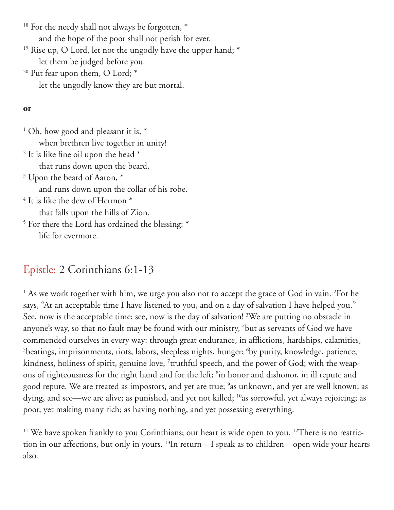<sup>18</sup> For the needy shall not always be forgotten,  $*$ and the hope of the poor shall not perish for ever.

- <sup>19</sup> Rise up, O Lord, let not the ungodly have the upper hand;  $*$ let them be judged before you.
- <sup>20</sup> Put fear upon them, O Lord; \* let the ungodly know they are but mortal.

#### **or**

<sup>1</sup> Oh, how good and pleasant it is,  $*$  when brethren live together in unity!  $2$  It is like fine oil upon the head  $^*$  that runs down upon the beard, <sup>3</sup> Upon the beard of Aaron,  $*$  and runs down upon the collar of his robe.  $4$  It is like the dew of Hermon  $^*$  that falls upon the hills of Zion. <sup>5</sup> For there the Lord has ordained the blessing:  $*$ life for evermore.

## Epistle: 2 Corinthians 6:1-13

<sup>1</sup> As we work together with him, we urge you also not to accept the grace of God in vain. <sup>2</sup>For he says, "At an acceptable time I have listened to you, and on a day of salvation I have helped you." See, now is the acceptable time; see, now is the day of salvation! <sup>3</sup>We are putting no obstacle in anyone's way, so that no fault may be found with our ministry,  $^4$ but as servants of God we have commended ourselves in every way: through great endurance, in afflictions, hardships, calamities, <sup>5</sup>beatings, imprisonments, riots, labors, sleepless nights, hunger; <sup>6</sup>by purity, knowledge, patience, kindness, holiness of spirit, genuine love, <sup>7</sup>truthful speech, and the power of God; with the weapons of righteousness for the right hand and for the left; <sup>8</sup>in honor and dishonor, in ill repute and good repute. We are treated as impostors, and yet are true; <sup>9</sup>as unknown, and yet are well known; as dying, and see—we are alive; as punished, and yet not killed; <sup>10</sup>as sorrowful, yet always rejoicing; as poor, yet making many rich; as having nothing, and yet possessing everything.

<sup>11</sup> We have spoken frankly to you Corinthians; our heart is wide open to you. <sup>12</sup>There is no restriction in our affections, but only in yours. 13In return—I speak as to children—open wide your hearts also.